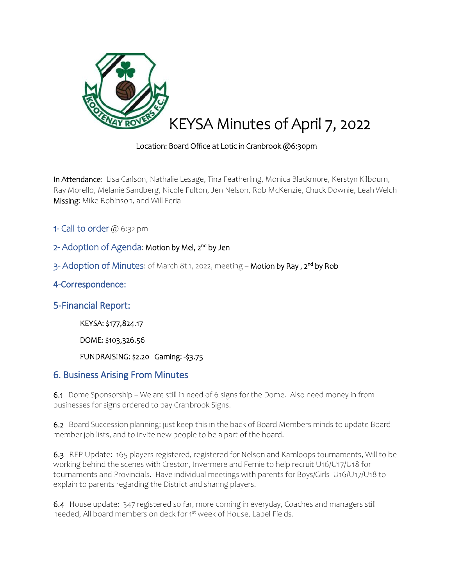

## Location: Board Office at Lotic in Cranbrook @6:30pm

In Attendance: Lisa Carlson, Nathalie Lesage, Tina Featherling, Monica Blackmore, Kerstyn Kilbourn, Ray Morello, Melanie Sandberg, Nicole Fulton, Jen Nelson, Rob McKenzie, Chuck Downie, Leah Welch Missing: Mike Robinson, and Will Feria

- 1- Call to order  $@6:32$  pm
- 2- Adoption of Agenda: Motion by Mel, 2<sup>nd</sup> by Jen
- 3- Adoption of Minutes: of March 8th, 2022, meeting **Motion by Ray , 2<sup>nd</sup> by Rob**

## 4-Correspondence:

## 5-Financial Report:

KEYSA: \$177,824.17

DOME: \$103,326.56

## FUNDRAISING: \$2.20 Gaming: -\$3.75

## 6. Business Arising From Minutes

6.1Dome Sponsorship – We are still in need of 6 signs for the Dome. Also need money in from businesses for signs ordered to pay Cranbrook Signs.

6.2 Board Succession planning: just keep this in the back of Board Members minds to update Board member job lists, and to invite new people to be a part of the board.

6.3 REP Update: 165 players registered, registered for Nelson and Kamloops tournaments, Will to be working behind the scenes with Creston, Invermere and Fernie to help recruit U16/U17/U18 for tournaments and Provincials. Have individual meetings with parents for Boys/Girls U16/U17/U18 to explain to parents regarding the District and sharing players.

6.4 House update: 347 registered so far, more coming in everyday, Coaches and managers still needed. All board members on deck for 1<sup>st</sup> week of House, Label Fields.